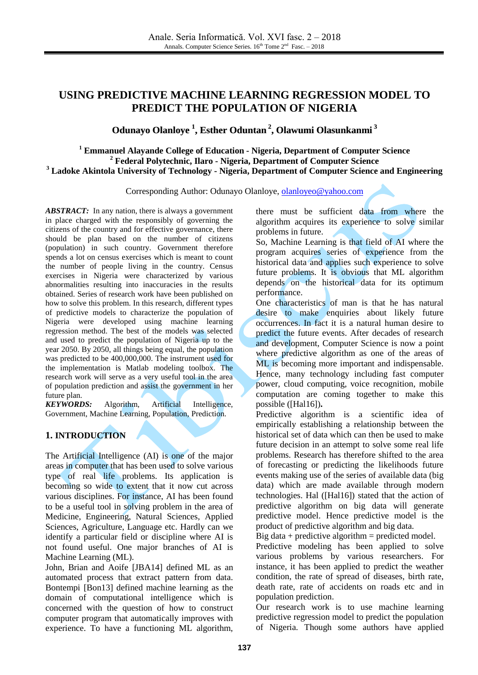# **USING PREDICTIVE MACHINE LEARNING REGRESSION MODEL TO PREDICT THE POPULATION OF NIGERIA**

# **Odunayo Olanloye 1 , Esther Oduntan 2 , Olawumi Olasunkanmi 3**

## **<sup>1</sup> Emmanuel Alayande College of Education - Nigeria, Department of Computer Science <sup>2</sup> Federal Polytechnic, Ilaro - Nigeria, Department of Computer Science <sup>3</sup> Ladoke Akintola University of Technology - Nigeria, Department of Computer Science and Engineering**

Corresponding Author: Odunayo Olanloye[, olanloyeo@yahoo.com](mailto:olanloyeo@yahoo.com)

*ABSTRACT:* In any nation, there is always a government in place charged with the responsibly of governing the citizens of the country and for effective governance, there should be plan based on the number of citizens (population) in such country. Government therefore spends a lot on census exercises which is meant to count the number of people living in the country. Census exercises in Nigeria were characterized by various abnormalities resulting into inaccuracies in the results obtained. Series of research work have been published on how to solve this problem. In this research, different types of predictive models to characterize the population of Nigeria were developed using machine learning regression method. The best of the models was selected and used to predict the population of Nigeria up to the year 2050. By 2050, all things being equal, the population was predicted to be 400,000,000. The instrument used for the implementation is Matlab modeling toolbox. The research work will serve as a very useful tool in the area of population prediction and assist the government in her future plan.

*KEYWORDS:* Algorithm, Artificial Intelligence, Government, Machine Learning, Population, Prediction.

## **1. INTRODUCTION**

The Artificial Intelligence (AI) is one of the major areas in computer that has been used to solve various type of real life problems. Its application is becoming so wide to extent that it now cut across various disciplines. For instance, AI has been found to be a useful tool in solving problem in the area of Medicine, Engineering, Natural Sciences, Applied Sciences, Agriculture, Language etc. Hardly can we identify a particular field or discipline where AI is not found useful. One major branches of AI is Machine Learning (ML).

John, Brian and Aoife [JBA14] defined ML as an automated process that extract pattern from data. Bontempi [Bon13] defined machine learning as the domain of computational intelligence which is concerned with the question of how to construct computer program that automatically improves with experience. To have a functioning ML algorithm,

there must be sufficient data from where the algorithm acquires its experience to solve similar problems in future.

So, Machine Learning is that field of AI where the program acquires series of experience from the historical data and applies such experience to solve future problems. It is obvious that ML algorithm depends on the historical data for its optimum performance.

One characteristics of man is that he has natural desire to make enquiries about likely future occurrences. In fact it is a natural human desire to predict the future events. After decades of research and development, Computer Science is now a point where predictive algorithm as one of the areas of ML is becoming more important and indispensable. Hence, many technology including fast computer power, cloud computing, voice recognition, mobile computation are coming together to make this possible ([Hal16])**.**

Predictive algorithm is a scientific idea of empirically establishing a relationship between the historical set of data which can then be used to make future decision in an attempt to solve some real life problems. Research has therefore shifted to the area of forecasting or predicting the likelihoods future events making use of the series of available data (big data) which are made available through modern technologies. Hal ([Hal16]) stated that the action of predictive algorithm on big data will generate predictive model. Hence predictive model is the product of predictive algorithm and big data.

Big data + predictive algorithm = predicted model.

Predictive modeling has been applied to solve various problems by various researchers. For instance, it has been applied to predict the weather condition, the rate of spread of diseases, birth rate, death rate, rate of accidents on roads etc and in population prediction.

Our research work is to use machine learning predictive regression model to predict the population of Nigeria. Though some authors have applied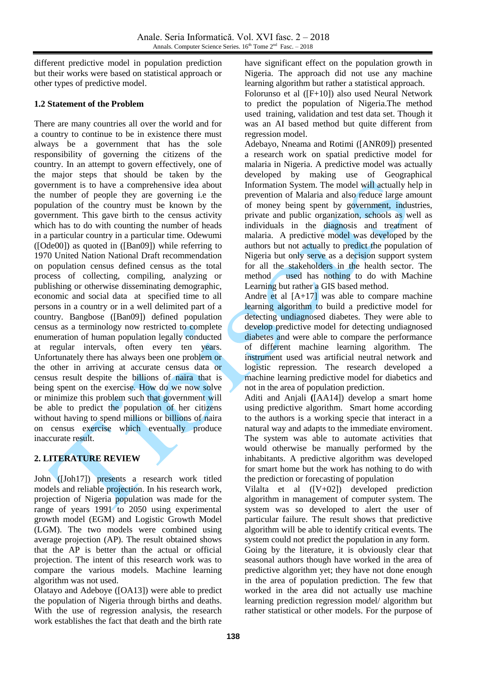different predictive model in population prediction but their works were based on statistical approach or other types of predictive model.

### **1.2 Statement of the Problem**

There are many countries all over the world and for a country to continue to be in existence there must always be a government that has the sole responsibility of governing the citizens of the country. In an attempt to govern effectively, one of the major steps that should be taken by the government is to have a comprehensive idea about the number of people they are governing i.e the population of the country must be known by the government. This gave birth to the census activity which has to do with counting the number of heads in a particular country in a particular time. Odewumi ([Ode00]) as quoted in ([Ban09]) while referring to 1970 United Nation National Draft recommendation on population census defined census as the total process of collecting, compiling, analyzing or publishing or otherwise disseminating demographic, economic and social data at specified time to all persons in a country or in a well delimited part of a country. Bangbose ([Ban09]) defined population census as a terminology now restricted to complete enumeration of human population legally conducted at regular intervals, often every ten years. Unfortunately there has always been one problem or the other in arriving at accurate census data or census result despite the billions of naira that is being spent on the exercise. How do we now solve or minimize this problem such that government will be able to predict the population of her citizens without having to spend millions or billions of naira on census exercise which eventually produce inaccurate result.

### **2. LITERATURE REVIEW**

John ([Joh17]) presents a research work titled models and reliable projection. In his research work, projection of Nigeria population was made for the range of years 1991 to 2050 using experimental growth model (EGM) and Logistic Growth Model (LGM). The two models were combined using average projection (AP). The result obtained shows that the AP is better than the actual or official projection. The intent of this research work was to compare the various models. Machine learning algorithm was not used.

Olatayo and Adeboye ([OA13]) were able to predict the population of Nigeria through births and deaths. With the use of regression analysis, the research work establishes the fact that death and the birth rate have significant effect on the population growth in Nigeria. The approach did not use any machine learning algorithm but rather a statistical approach.

Folorunso et al ([F+10]) also used Neural Network to predict the population of Nigeria.The method used training, validation and test data set. Though it was an AI based method but quite different from regression model.

Adebayo, Nneama and Rotimi ([ANR09]) presented a research work on spatial predictive model for malaria in Nigeria. A predictive model was actually developed by making use of Geographical Information System. The model will actually help in prevention of Malaria and also reduce large amount of money being spent by government, industries, private and public organization, schools as well as individuals in the diagnosis and treatment of malaria. A predictive model was developed by the authors but not actually to predict the population of Nigeria but only serve as a decision support system for all the stakeholders in the health sector. The method used has nothing to do with Machine Learning but rather a GIS based method.

Andre et al  $[A+17]$  was able to compare machine learning algorithm to build a predictive model for detecting undiagnosed diabetes. They were able to develop predictive model for detecting undiagnosed diabetes and were able to compare the performance of different machine learning algorithm. The instrument used was artificial neutral network and logistic repression. The research developed a machine learning predictive model for diabetics and not in the area of population prediction.

Aditi and Anjali **(**[AA14]) develop a smart home using predictive algorithm. Smart home according to the authors is a working specie that interact in a natural way and adapts to the immediate enviroment. The system was able to automate activities that would otherwise be manually performed by the inhabitants. A predictive algorithm was developed for smart home but the work has nothing to do with the prediction or forecasting of population

Vilalta et al ([V+02]) developed prediction algorithm in management of computer system. The system was so developed to alert the user of particular failure. The result shows that predictive algorithm will be able to identify critical events. The system could not predict the population in any form.

Going by the literature, it is obviously clear that seasonal authors though have worked in the area of predictive algorithm yet; they have not done enough in the area of population prediction. The few that worked in the area did not actually use machine learning prediction regression model/ algorithm but rather statistical or other models. For the purpose of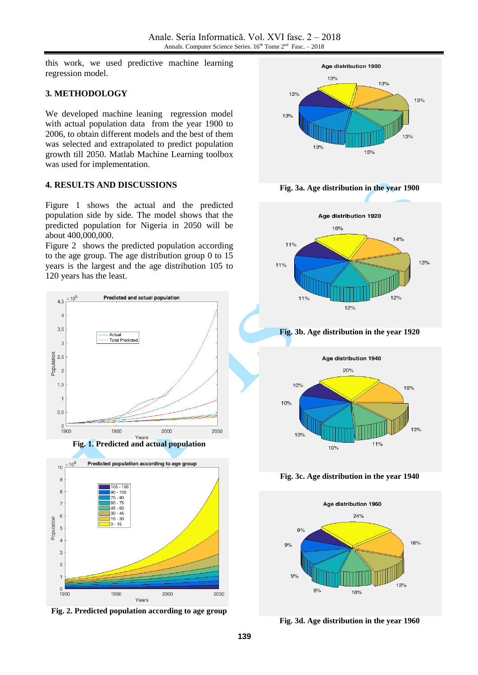this work, we used predictive machine learning regression model.

#### **3. METHODOLOGY**

We developed machine leaning regression model with actual population data from the year 1900 to 2006, to obtain different models and the best of them was selected and extrapolated to predict population growth till 2050. Matlab Machine Learning toolbox was used for implementation.

#### **4. RESULTS AND DISCUSSIONS**

Figure 1 shows the actual and the predicted population side by side. The model shows that the predicted population for Nigeria in 2050 will be about 400,000,000.

Figure 2 shows the predicted population according to the age group. The age distribution group 0 to 15 years is the largest and the age distribution 105 to 120 years has the least.







**Fig. 2. Predicted population according to age group** 



**Fig. 3a. Age distribution in the year 1900** 



**Fig. 3b. Age distribution in the year 1920** 



**Fig. 3c. Age distribution in the year 1940**



**Fig. 3d. Age distribution in the year 1960**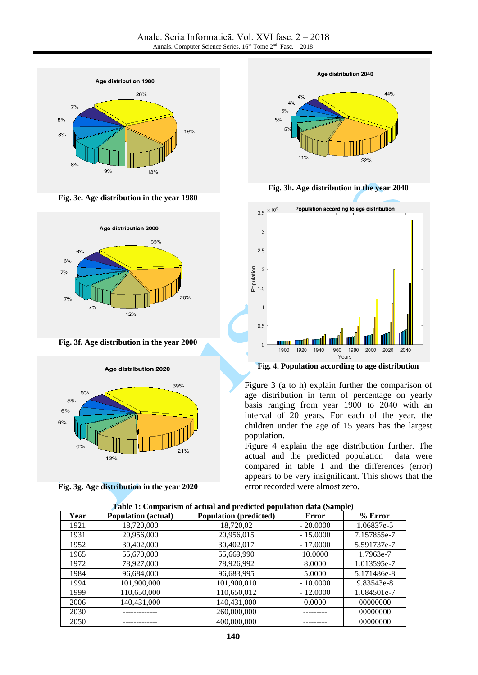

**Fig. 3e. Age distribution in the year 1980** 



**Fig. 3f. Age distribution in the year 2000** 



**Fig. 3g. Age distribution in the year 2020**



**Fig. 3h. Age distribution in the year 2040** 



**Fig. 4. Population according to age distribution**

Figure 3 (a to h) explain further the comparison of age distribution in term of percentage on yearly basis ranging from year 1900 to 2040 with an interval of 20 years. For each of the year, the children under the age of 15 years has the largest population.

Figure 4 explain the age distribution further. The actual and the predicted population data were compared in table 1 and the differences (error) appears to be very insignificant. This shows that the error recorded were almost zero.

| Year | <b>Population</b> (actual) | <b>Population</b> (predicted) | <b>Error</b> | $%$ Error   |
|------|----------------------------|-------------------------------|--------------|-------------|
| 1921 | 18,720,000                 | 18,720,02                     | $-20.0000$   | 1.06837e-5  |
| 1931 | 20,956,000                 | 20,956,015                    | $-15.0000$   | 7.157855e-7 |
| 1952 | 30,402,000                 | 30,402,017                    | $-17,0000$   | 5.591737e-7 |
| 1965 | 55,670,000                 | 55,669,990                    | 10.0000      | 1.7963e-7   |
| 1972 | 78,927,000                 | 78.926.992                    | 8.0000       | 1.013595e-7 |
| 1984 | 96,684,000                 | 96,683,995                    | 5.0000       | 5.171486e-8 |
| 1994 | 101,900,000                | 101,900,010                   | $-10.0000$   | 9.83543e-8  |
| 1999 | 110,650,000                | 110,650,012                   | $-12,0000$   | 1.084501e-7 |
| 2006 | 140,431,000                | 140,431,000                   | 0.0000       | 00000000    |
| 2030 |                            | 260,000,000                   |              | 00000000    |
| 2050 |                            | 400,000,000                   |              | 00000000    |

|  |  |  |  |  |  |  |  |  |  |  | Table 1: Comparism of actual and predicted population data (Sample) |  |  |  |  |  |  |  |
|--|--|--|--|--|--|--|--|--|--|--|---------------------------------------------------------------------|--|--|--|--|--|--|--|
|--|--|--|--|--|--|--|--|--|--|--|---------------------------------------------------------------------|--|--|--|--|--|--|--|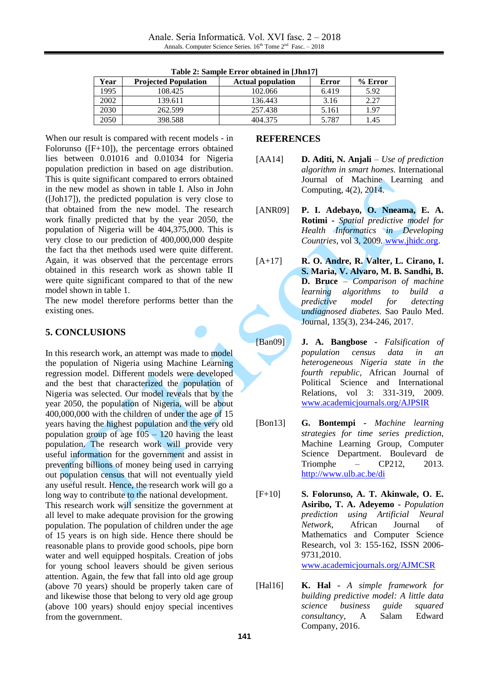| Year | <b>Projected Population</b> | <b>Actual population</b> | Error | $%$ Error |  |  |  |  |
|------|-----------------------------|--------------------------|-------|-----------|--|--|--|--|
| 1995 | 108.425                     | 102.066                  | 6.419 | 5.92      |  |  |  |  |
| 2002 | 139.611                     | 136.443                  | 3.16  | 2.27      |  |  |  |  |
| 2030 | 262.599                     | 257.438                  | 5.161 | 1.97      |  |  |  |  |
| 2050 | 398.588                     | 404.375                  | 5.787 | 1.45      |  |  |  |  |

**Table 2: Sample Error obtained in [Jhn17]**

When our result is compared with recent models - in Folorunso ([F+10]), the percentage errors obtained lies between 0.01016 and 0.01034 for Nigeria population prediction in based on age distribution. This is quite significant compared to errors obtained in the new model as shown in table I. Also in John ([Joh17]), the predicted population is very close to that obtained from the new model. The research work finally predicted that by the year 2050, the population of Nigeria will be 404,375,000. This is very close to our prediction of 400,000,000 despite the fact tha thet methods used were quite different. Again, it was observed that the percentage errors obtained in this research work as shown table II were quite significant compared to that of the new model shown in table 1.

The new model therefore performs better than the existing ones.

# **5. CONCLUSIONS**

In this research work, an attempt was made to model the population of Nigeria using Machine Learning regression model. Different models were developed and the best that characterized the population of Nigeria was selected. Our model reveals that by the year 2050, the population of Nigeria, will be about 400,000,000 with the children of under the age of 15 years having the highest population and the very old population group of age  $105 - 120$  having the least population. The research work will provide very useful information for the government and assist in preventing billions of money being used in carrying out population census that will not eventually yield any useful result. Hence, the research work will go a long way to contribute to the national development. This research work will sensitize the government at all level to make adequate provision for the growing population. The population of children under the age of 15 years is on high side. Hence there should be reasonable plans to provide good schools, pipe born water and well equipped hospitals. Creation of jobs

for young school leavers should be given serious attention. Again, the few that fall into old age group (above 70 years) should be properly taken care of and likewise those that belong to very old age group (above 100 years) should enjoy special incentives from the government.

### **REFERENCES**

- [AA14] **D. Aditi, N. Anjali** *Use of prediction algorithm in smart homes.* International Journal of Machine Learning and Computing, 4(2), 2014.
- [ANR09] **P. I. Adebayo, O. Nneama, E. A. Rotimi -** *Spatial predictive model for Health Informatics in Developing Countries*, vol 3, 2009. [www.jhidc.org.](http://www.jhidc.org/)
- [A+17] **R. O. Andre, R. Valter, L. Cirano, I. S. Maria, V. Alvaro, M. B. Sandhi, B. D. Bruce** – *Comparison of machine learning algorithms to build a predictive model for detecting undiagnosed diabetes.* Sao Paulo Med. Journal, 135(3), 234-246, 2017.
- [Ban09] **J. A. Bangbose -** *Falsification of population census data in an heterogeneous Nigeria state in the fourth republic,* African Journal of Political Science and International Relations, vol 3: 331-319, 2009. [www.academicjournals.org/AJPSIR](http://www.academicjournals.org/AJPSIR)
- [Bon13] **G. Bontempi -** *Machine learning strategies for time series prediction,* Machine Learning Group, Computer Science Department. Boulevard de Triomphe – CP212, 2013. <http://www.ulb.ac.be/di>
- [F+10] **S. Folorunso, A. T. Akinwale, O. E. Asiribo, T. A. Adeyemo -** *Population prediction using Artificial Neural Network*, African Journal of Mathematics and Computer Science Research, vol 3: 155-162, ISSN 2006- 9731,2010. [www.academicjournals.org/AJMCSR](http://www.academicjournals.org/AJMCSR)
- [Hal16] **K. Hal -** *A simple framework for building predictive model: A little data science business guide squared consultancy*, A Salam Edward Company, 2016.